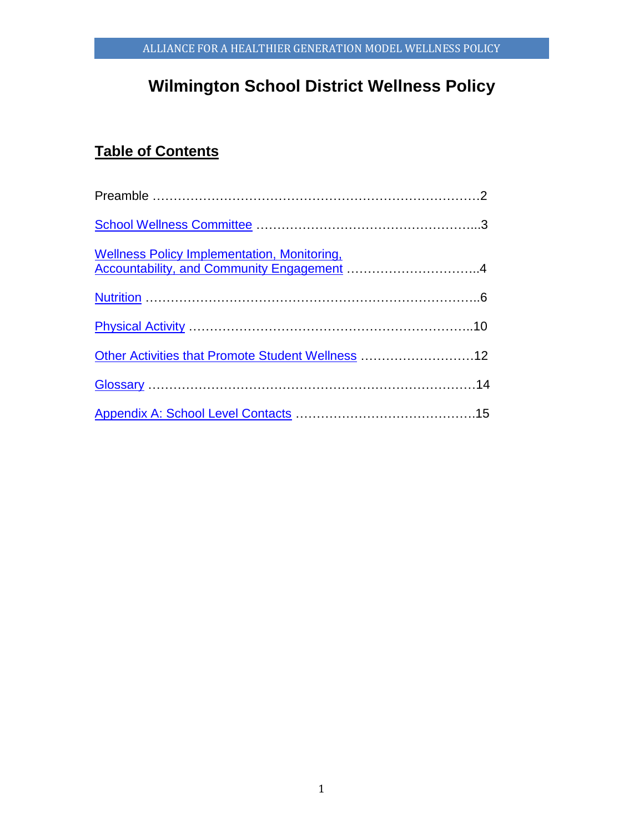# **Wilmington School District Wellness Policy**

# **Table of Contents**

| Accountability, and Community Engagement 4        |  |
|---------------------------------------------------|--|
|                                                   |  |
|                                                   |  |
| Other Activities that Promote Student Wellness 12 |  |
|                                                   |  |
|                                                   |  |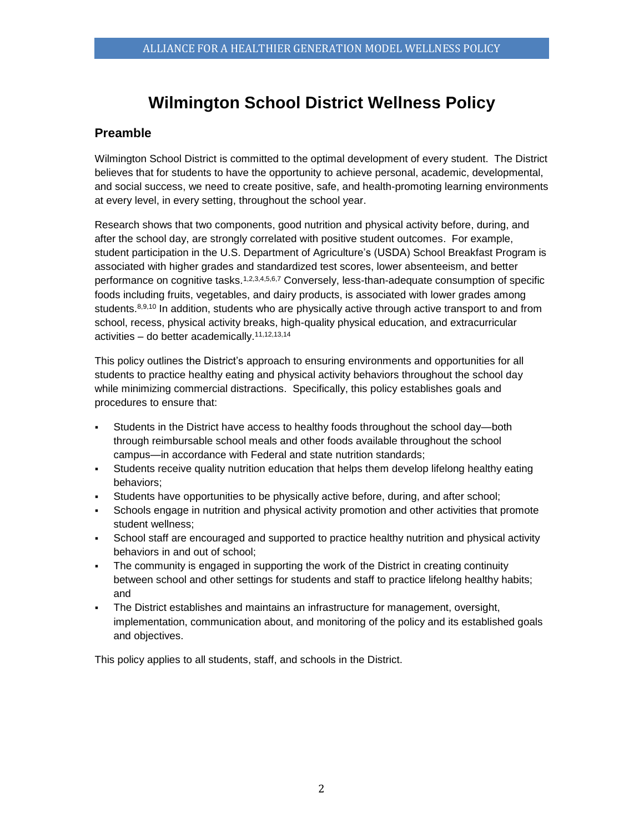# **Wilmington School District Wellness Policy**

# **Preamble**

Wilmington School District is committed to the optimal development of every student. The District believes that for students to have the opportunity to achieve personal, academic, developmental, and social success, we need to create positive, safe, and health-promoting learning environments at every level, in every setting, throughout the school year.

Research shows that two components, good nutrition and physical activity before, during, and after the school day, are strongly correlated with positive student outcomes. For example, student participation in the U.S. Department of Agriculture's (USDA) School Breakfast Program is associated with higher grades and standardized test scores, lower absenteeism, and better performance on cognitive tasks.<sup>1,2,3,4,5,6,7</sup> Conversely, less-than-adequate consumption of specific foods including fruits, vegetables, and dairy products, is associated with lower grades among students.<sup>8,9,10</sup> In addition, students who are physically active through active transport to and from school, recess, physical activity breaks, high-quality physical education, and extracurricular activities – do better academically.11,12,13,14

This policy outlines the District's approach to ensuring environments and opportunities for all students to practice healthy eating and physical activity behaviors throughout the school day while minimizing commercial distractions. Specifically, this policy establishes goals and procedures to ensure that:

- Students in the District have access to healthy foods throughout the school day—both through reimbursable school meals and other foods available throughout the school campus—in accordance with Federal and state nutrition standards;
- Students receive quality nutrition education that helps them develop lifelong healthy eating behaviors;
- Students have opportunities to be physically active before, during, and after school;
- Schools engage in nutrition and physical activity promotion and other activities that promote student wellness;
- School staff are encouraged and supported to practice healthy nutrition and physical activity behaviors in and out of school;
- The community is engaged in supporting the work of the District in creating continuity between school and other settings for students and staff to practice lifelong healthy habits; and
- The District establishes and maintains an infrastructure for management, oversight, implementation, communication about, and monitoring of the policy and its established goals and objectives.

This policy applies to all students, staff, and schools in the District.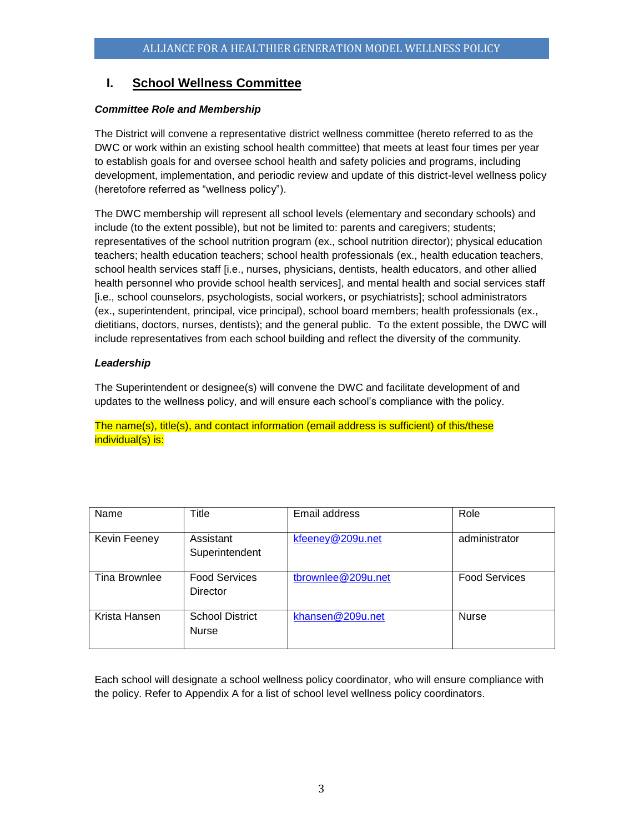# <span id="page-2-0"></span>**I. School Wellness Committee**

# *Committee Role and Membership*

The District will convene a representative district wellness committee (hereto referred to as the DWC or work within an existing school health committee) that meets at least four times per year to establish goals for and oversee school health and safety policies and programs, including development, implementation, and periodic review and update of this district-level wellness policy (heretofore referred as "wellness policy").

The DWC membership will represent all school levels (elementary and secondary schools) and include (to the extent possible), but not be limited to: parents and caregivers; students; representatives of the school nutrition program (ex., school nutrition director); physical education teachers; health education teachers; school health professionals (ex., health education teachers, school health services staff [i.e., nurses, physicians, dentists, health educators, and other allied health personnel who provide school health services], and mental health and social services staff [i.e., school counselors, psychologists, social workers, or psychiatrists]; school administrators (ex., superintendent, principal, vice principal), school board members; health professionals (ex., dietitians, doctors, nurses, dentists); and the general public. To the extent possible, the DWC will include representatives from each school building and reflect the diversity of the community.

# *Leadership*

The Superintendent or designee(s) will convene the DWC and facilitate development of and updates to the wellness policy, and will ensure each school's compliance with the policy.

The name(s), title(s), and contact information (email address is sufficient) of this/these individual(s) is:

| Name          | Title                                   | Email address      | Role                 |
|---------------|-----------------------------------------|--------------------|----------------------|
| Kevin Feeney  | Assistant<br>Superintendent             | kfeeney@209u.net   | administrator        |
| Tina Brownlee | <b>Food Services</b><br><b>Director</b> | tbrownlee@209u.net | <b>Food Services</b> |
| Krista Hansen | <b>School District</b><br><b>Nurse</b>  | khansen@209u.net   | <b>Nurse</b>         |

Each school will designate a school wellness policy coordinator, who will ensure compliance with the policy. Refer to Appendix A for a list of school level wellness policy coordinators.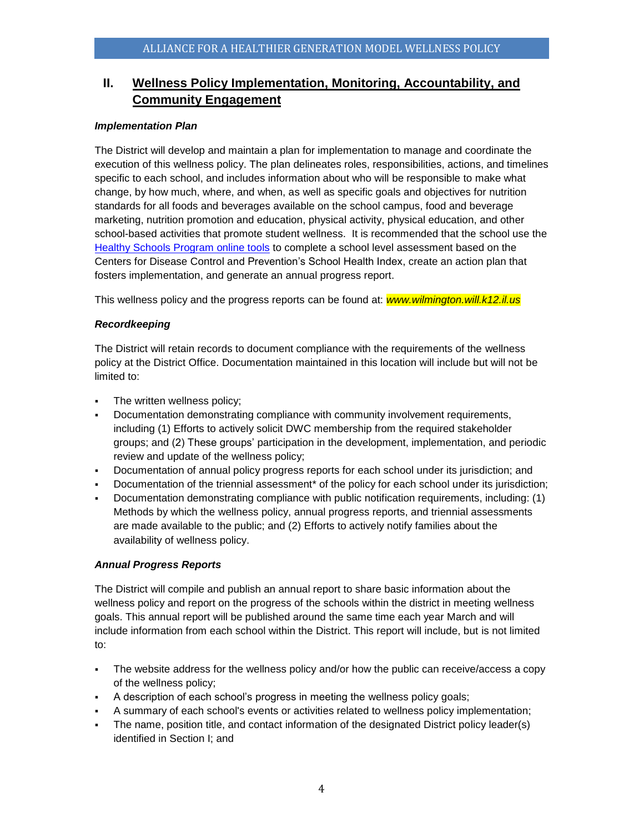# <span id="page-3-0"></span>**II. Wellness Policy Implementation, Monitoring, Accountability, and Community Engagement**

### *Implementation Plan*

The District will develop and maintain a plan for implementation to manage and coordinate the execution of this wellness policy. The plan delineates roles, responsibilities, actions, and timelines specific to each school, and includes information about who will be responsible to make what change, by how much, where, and when, as well as specific goals and objectives for nutrition standards for all foods and beverages available on the school campus, food and beverage marketing, nutrition promotion and education, physical activity, physical education, and other school-based activities that promote student wellness. It is recommended that the school use the [Healthy Schools Program online tools](http://www.schools.healthiergeneration.org/) to complete a school level assessment based on the Centers for Disease Control and Prevention's School Health Index, create an action plan that fosters implementation, and generate an annual progress report.

This wellness policy and the progress reports can be found at: *www.wilmington.will.k12.il.us*

# *Recordkeeping*

The District will retain records to document compliance with the requirements of the wellness policy at the District Office. Documentation maintained in this location will include but will not be limited to:

- **•** The written wellness policy;
- Documentation demonstrating compliance with community involvement requirements, including (1) Efforts to actively solicit DWC membership from the required stakeholder groups; and (2) These groups' participation in the development, implementation, and periodic review and update of the wellness policy;
- Documentation of annual policy progress reports for each school under its jurisdiction; and
- Documentation of the triennial assessment\* of the policy for each school under its jurisdiction;
- Documentation demonstrating compliance with public notification requirements, including: (1) Methods by which the wellness policy, annual progress reports, and triennial assessments are made available to the public; and (2) Efforts to actively notify families about the availability of wellness policy.

# *Annual Progress Reports*

The District will compile and publish an annual report to share basic information about the wellness policy and report on the progress of the schools within the district in meeting wellness goals. This annual report will be published around the same time each year March and will include information from each school within the District. This report will include, but is not limited to:

- The website address for the wellness policy and/or how the public can receive/access a copy of the wellness policy;
- A description of each school's progress in meeting the wellness policy goals;
- A summary of each school's events or activities related to wellness policy implementation;
- The name, position title, and contact information of the designated District policy leader(s) identified in Section I; and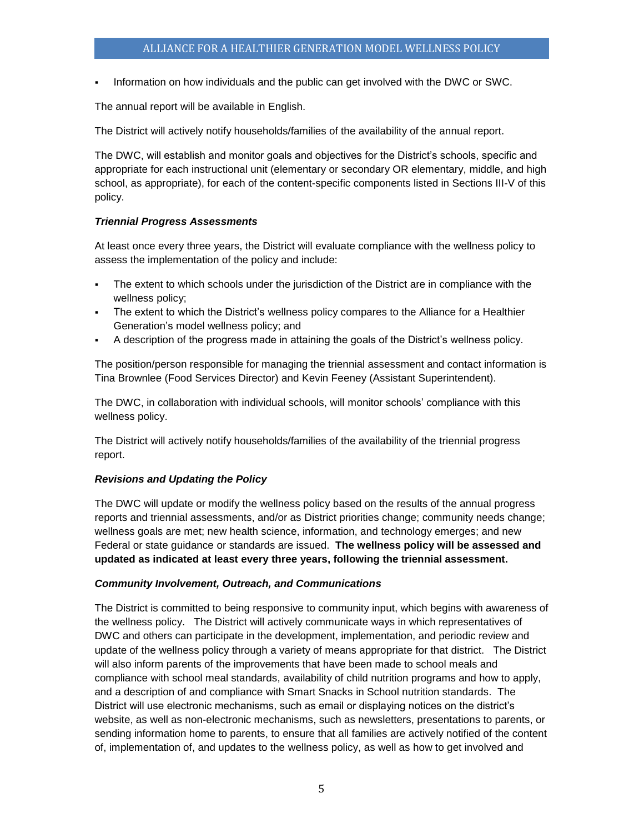Information on how individuals and the public can get involved with the DWC or SWC.

The annual report will be available in English.

The District will actively notify households/families of the availability of the annual report.

The DWC, will establish and monitor goals and objectives for the District's schools, specific and appropriate for each instructional unit (elementary or secondary OR elementary, middle, and high school, as appropriate), for each of the content-specific components listed in Sections III-V of this policy.

# *Triennial Progress Assessments*

At least once every three years, the District will evaluate compliance with the wellness policy to assess the implementation of the policy and include:

- The extent to which schools under the jurisdiction of the District are in compliance with the wellness policy;
- The extent to which the District's wellness policy compares to the Alliance for a Healthier Generation's model wellness policy; and
- A description of the progress made in attaining the goals of the District's wellness policy.

The position/person responsible for managing the triennial assessment and contact information is Tina Brownlee (Food Services Director) and Kevin Feeney (Assistant Superintendent).

The DWC, in collaboration with individual schools, will monitor schools' compliance with this wellness policy.

The District will actively notify households/families of the availability of the triennial progress report.

#### *Revisions and Updating the Policy*

The DWC will update or modify the wellness policy based on the results of the annual progress reports and triennial assessments, and/or as District priorities change; community needs change; wellness goals are met; new health science, information, and technology emerges; and new Federal or state guidance or standards are issued. **The wellness policy will be assessed and updated as indicated at least every three years, following the triennial assessment.**

# *Community Involvement, Outreach, and Communications*

The District is committed to being responsive to community input, which begins with awareness of the wellness policy. The District will actively communicate ways in which representatives of DWC and others can participate in the development, implementation, and periodic review and update of the wellness policy through a variety of means appropriate for that district. The District will also inform parents of the improvements that have been made to school meals and compliance with school meal standards, availability of child nutrition programs and how to apply, and a description of and compliance with Smart Snacks in School nutrition standards. The District will use electronic mechanisms, such as email or displaying notices on the district's website, as well as non-electronic mechanisms, such as newsletters, presentations to parents, or sending information home to parents, to ensure that all families are actively notified of the content of, implementation of, and updates to the wellness policy, as well as how to get involved and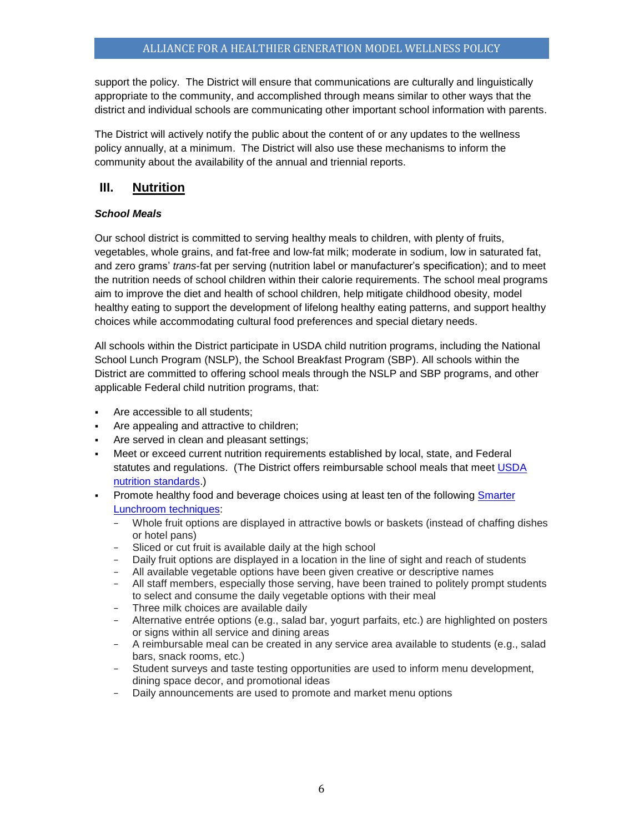support the policy. The District will ensure that communications are culturally and linguistically appropriate to the community, and accomplished through means similar to other ways that the district and individual schools are communicating other important school information with parents.

The District will actively notify the public about the content of or any updates to the wellness policy annually, at a minimum. The District will also use these mechanisms to inform the community about the availability of the annual and triennial reports.

# <span id="page-5-0"></span>**III. Nutrition**

# *School Meals*

Our school district is committed to serving healthy meals to children, with plenty of fruits, vegetables, whole grains, and fat-free and low-fat milk; moderate in sodium, low in saturated fat, and zero grams' *trans*-fat per serving (nutrition label or manufacturer's specification); and to meet the nutrition needs of school children within their calorie requirements. The school meal programs aim to improve the diet and health of school children, help mitigate childhood obesity, model healthy eating to support the development of lifelong healthy eating patterns, and support healthy choices while accommodating cultural food preferences and special dietary needs.

All schools within the District participate in USDA child nutrition programs, including the National School Lunch Program (NSLP), the School Breakfast Program (SBP). All schools within the District are committed to offering school meals through the NSLP and SBP programs, and other applicable Federal child nutrition programs, that:

- Are accessible to all students;
- Are appealing and attractive to children;
- Are served in clean and pleasant settings;
- Meet or exceed current nutrition requirements established by local, state, and Federal statutes and regulations. (The District offers reimbursable school meals that meet [USDA](http://www.fns.usda.gov/school-meals/nutrition-standards-school-meals)  [nutrition standards.\)](http://www.fns.usda.gov/school-meals/nutrition-standards-school-meals)
- Promote healthy food and beverage choices using at least ten of the following Smarter [Lunchroom techniques:](http://smarterlunchrooms.org/ideas)
	- − Whole fruit options are displayed in attractive bowls or baskets (instead of chaffing dishes or hotel pans)
	- − Sliced or cut fruit is available daily at the high school
	- − Daily fruit options are displayed in a location in the line of sight and reach of students
	- − All available vegetable options have been given creative or descriptive names
	- − All staff members, especially those serving, have been trained to politely prompt students to select and consume the daily vegetable options with their meal
	- − Three milk choices are available daily
	- − Alternative entrée options (e.g., salad bar, yogurt parfaits, etc.) are highlighted on posters or signs within all service and dining areas
	- − A reimbursable meal can be created in any service area available to students (e.g., salad bars, snack rooms, etc.)
	- − Student surveys and taste testing opportunities are used to inform menu development, dining space decor, and promotional ideas
	- − Daily announcements are used to promote and market menu options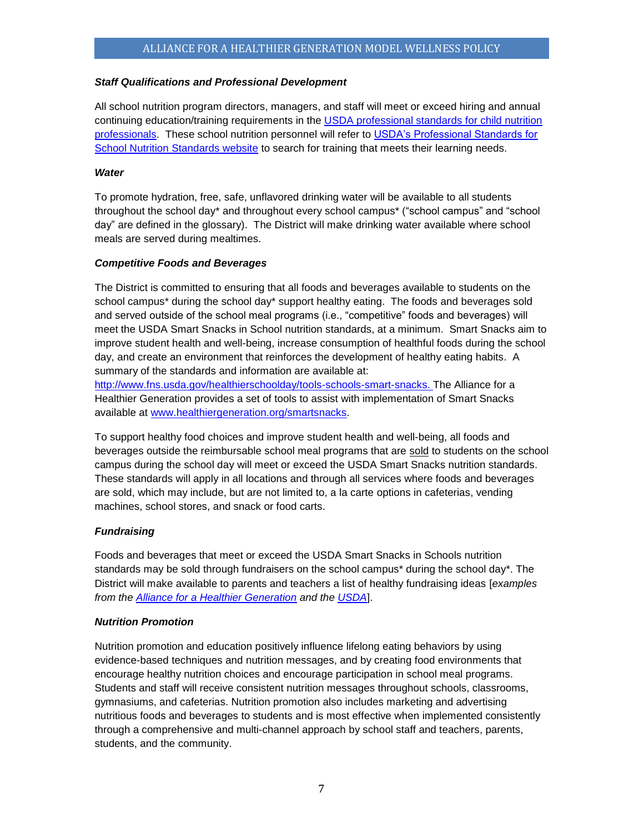#### *Staff Qualifications and Professional Development*

All school nutrition program directors, managers, and staff will meet or exceed hiring and annual continuing education/training requirements in the USDA professional standards for child nutrition [professionals.](http://www.fns.usda.gov/sites/default/files/CN2014-0130.pdf) These school nutrition personnel will refer to [USDA's Professional Standards for](http://professionalstandards.nal.usda.gov/)  [School Nutrition Standards website](http://professionalstandards.nal.usda.gov/) to search for training that meets their learning needs.

#### *Water*

To promote hydration, free, safe, unflavored drinking water will be available to all students throughout the school day\* and throughout every school campus\* ("school campus" and "school day" are defined in the glossary). The District will make drinking water available where school meals are served during mealtimes.

#### *Competitive Foods and Beverages*

The District is committed to ensuring that all foods and beverages available to students on the school campus\* during the school day\* support healthy eating. The foods and beverages sold and served outside of the school meal programs (i.e., "competitive" foods and beverages) will meet the USDA Smart Snacks in School nutrition standards, at a minimum. Smart Snacks aim to improve student health and well-being, increase consumption of healthful foods during the school day, and create an environment that reinforces the development of healthy eating habits. A summary of the standards and information are available at:

[http://www.fns.usda.gov/healthierschoolday/tools-schools-smart-snacks.](http://www.fns.usda.gov/healthierschoolday/tools-schools-smart-snacks) The Alliance for a Healthier Generation provides a set of tools to assist with implementation of Smart Snacks available at [www.healthiergeneration.org/smartsnacks.](http://www.healthiergeneration.org/smartsnacks)

To support healthy food choices and improve student health and well-being, all foods and beverages outside the reimbursable school meal programs that are sold to students on the school campus during the school day will meet or exceed the USDA Smart Snacks nutrition standards. These standards will apply in all locations and through all services where foods and beverages are sold, which may include, but are not limited to, a la carte options in cafeterias, vending machines, school stores, and snack or food carts.

# *Fundraising*

Foods and beverages that meet or exceed the USDA Smart Snacks in Schools nutrition standards may be sold through fundraisers on the school campus\* during the school day\*. The District will make available to parents and teachers a list of healthy fundraising ideas [*examples from the [Alliance for a Healthier Generation](https://www.healthiergeneration.org/take_action/schools/snacks_and_beverages/fundraisers/) and the [USDA](http://healthymeals.nal.usda.gov/local-wellness-policy-resources/wellness-policy-elements/healthy-fundraising)*].

# *Nutrition Promotion*

Nutrition promotion and education positively influence lifelong eating behaviors by using evidence-based techniques and nutrition messages, and by creating food environments that encourage healthy nutrition choices and encourage participation in school meal programs. Students and staff will receive consistent nutrition messages throughout schools, classrooms, gymnasiums, and cafeterias. Nutrition promotion also includes marketing and advertising nutritious foods and beverages to students and is most effective when implemented consistently through a comprehensive and multi-channel approach by school staff and teachers, parents, students, and the community.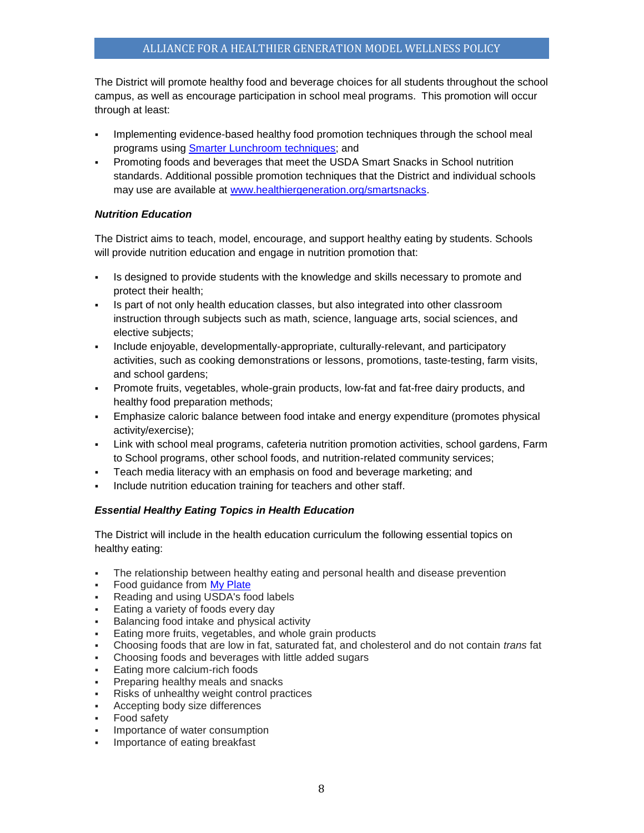The District will promote healthy food and beverage choices for all students throughout the school campus, as well as encourage participation in school meal programs. This promotion will occur through at least:

- Implementing evidence-based healthy food promotion techniques through the school meal programs using [Smarter Lunchroom techniques;](http://smarterlunchrooms.org/ideas) and
- Promoting foods and beverages that meet the USDA Smart Snacks in School nutrition standards. Additional possible promotion techniques that the District and individual schools may use are available at [www.healthiergeneration.org/smartsnacks.](http://www.healthiergeneration.org/smartsnacks)

# *Nutrition Education*

The District aims to teach, model, encourage, and support healthy eating by students. Schools will provide nutrition education and engage in nutrition promotion that:

- Is designed to provide students with the knowledge and skills necessary to promote and protect their health;
- Is part of not only health education classes, but also integrated into other classroom instruction through subjects such as math, science, language arts, social sciences, and elective subjects;
- Include enjoyable, developmentally-appropriate, culturally-relevant, and participatory activities, such as cooking demonstrations or lessons, promotions, taste-testing, farm visits, and school gardens;
- Promote fruits, vegetables, whole-grain products, low-fat and fat-free dairy products, and healthy food preparation methods;
- Emphasize caloric balance between food intake and energy expenditure (promotes physical activity/exercise);
- Link with school meal programs, cafeteria nutrition promotion activities, school gardens, Farm to School programs, other school foods, and nutrition-related community services;
- Teach media literacy with an emphasis on food and beverage marketing; and
- Include nutrition education training for teachers and other staff.

# *Essential Healthy Eating Topics in Health Education*

The District will include in the health education curriculum the following essential topics on healthy eating:

- The relationship between healthy eating and personal health and disease prevention
- Food guidance from [My Plate](http://www.choosemyplate.gov/)
- Reading and using USDA's food labels
- Eating a variety of foods every day
- Balancing food intake and physical activity
- Eating more fruits, vegetables, and whole grain products
- Choosing foods that are low in fat, saturated fat, and cholesterol and do not contain *trans* fat
- Choosing foods and beverages with little added sugars
- Eating more calcium-rich foods
- Preparing healthy meals and snacks
- Risks of unhealthy weight control practices
- **•** Accepting body size differences
- Food safety
- Importance of water consumption
- **•** Importance of eating breakfast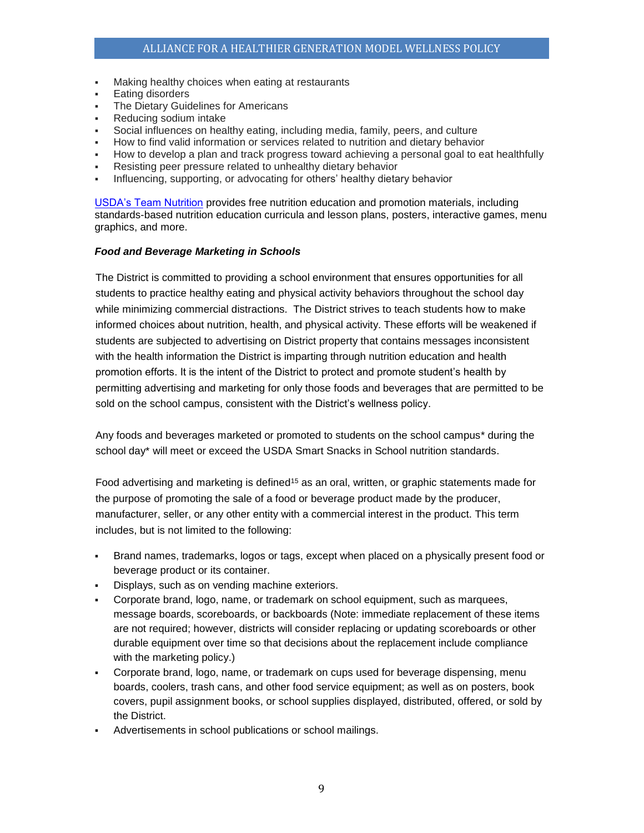- Making healthy choices when eating at restaurants
- **Eating disorders**
- The Dietary Guidelines for Americans
- Reducing sodium intake
- Social influences on healthy eating, including media, family, peers, and culture
- How to find valid information or services related to nutrition and dietary behavior
- How to develop a plan and track progress toward achieving a personal goal to eat healthfully
- Resisting peer pressure related to unhealthy dietary behavior
- Influencing, supporting, or advocating for others' healthy dietary behavior

[USDA's Team Nutrition](http://www.fns.usda.gov/tn/team-nutrition) provides free nutrition education and promotion materials, including standards-based nutrition education curricula and lesson plans, posters, interactive games, menu graphics, and more.

#### *Food and Beverage Marketing in Schools*

The District is committed to providing a school environment that ensures opportunities for all students to practice healthy eating and physical activity behaviors throughout the school day while minimizing commercial distractions. The District strives to teach students how to make informed choices about nutrition, health, and physical activity. These efforts will be weakened if students are subjected to advertising on District property that contains messages inconsistent with the health information the District is imparting through nutrition education and health promotion efforts. It is the intent of the District to protect and promote student's health by permitting advertising and marketing for only those foods and beverages that are permitted to be sold on the school campus, consistent with the District's wellness policy.

Any foods and beverages marketed or promoted to students on the school campus\* during the school day\* will meet or exceed the USDA Smart Snacks in School nutrition standards.

Food advertising and marketing is defined<sup>15</sup> as an oral, written, or graphic statements made for the purpose of promoting the sale of a food or beverage product made by the producer, manufacturer, seller, or any other entity with a commercial interest in the product. This term includes, but is not limited to the following:

- Brand names, trademarks, logos or tags, except when placed on a physically present food or beverage product or its container.
- Displays, such as on vending machine exteriors.
- Corporate brand, logo, name, or trademark on school equipment, such as marquees, message boards, scoreboards, or backboards (Note: immediate replacement of these items are not required; however, districts will consider replacing or updating scoreboards or other durable equipment over time so that decisions about the replacement include compliance with the marketing policy.)
- Corporate brand, logo, name, or trademark on cups used for beverage dispensing, menu boards, coolers, trash cans, and other food service equipment; as well as on posters, book covers, pupil assignment books, or school supplies displayed, distributed, offered, or sold by the District.
- Advertisements in school publications or school mailings.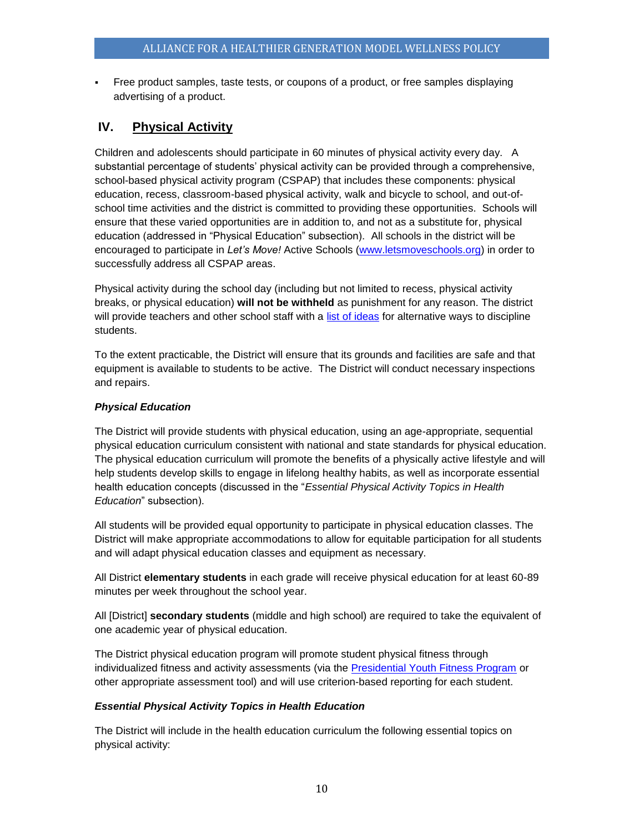• Free product samples, taste tests, or coupons of a product, or free samples displaying advertising of a product.

# <span id="page-9-0"></span>**IV. Physical Activity**

Children and adolescents should participate in 60 minutes of physical activity every day. A substantial percentage of students' physical activity can be provided through a comprehensive, school-based physical activity program (CSPAP) that includes these components: physical education, recess, classroom-based physical activity, walk and bicycle to school, and out-ofschool time activities and the district is committed to providing these opportunities. Schools will ensure that these varied opportunities are in addition to, and not as a substitute for, physical education (addressed in "Physical Education" subsection). All schools in the district will be encouraged to participate in *Let's Move!* Active Schools [\(www.letsmoveschools.org\)](http://www.letsmoveschools.org/) in order to successfully address all CSPAP areas.

Physical activity during the school day (including but not limited to recess, physical activity breaks, or physical education) **will not be withheld** as punishment for any reason. The district will provide teachers and other school staff with a [list of ideas](http://cspinet.org/new/pdf/constructive_classroom_rewards.pdf) for alternative ways to discipline students.

To the extent practicable, the District will ensure that its grounds and facilities are safe and that equipment is available to students to be active. The District will conduct necessary inspections and repairs.

# *Physical Education*

The District will provide students with physical education, using an age-appropriate, sequential physical education curriculum consistent with national and state standards for physical education. The physical education curriculum will promote the benefits of a physically active lifestyle and will help students develop skills to engage in lifelong healthy habits, as well as incorporate essential health education concepts (discussed in the "*Essential Physical Activity Topics in Health Education*" subsection).

All students will be provided equal opportunity to participate in physical education classes. The District will make appropriate accommodations to allow for equitable participation for all students and will adapt physical education classes and equipment as necessary.

All District **elementary students** in each grade will receive physical education for at least 60-89 minutes per week throughout the school year.

All [District] **secondary students** (middle and high school) are required to take the equivalent of one academic year of physical education.

The District physical education program will promote student physical fitness through individualized fitness and activity assessments (via the [Presidential Youth Fitness Program](http://www.pyfp.org/) or other appropriate assessment tool) and will use criterion-based reporting for each student.

# *Essential Physical Activity Topics in Health Education*

The District will include in the health education curriculum the following essential topics on physical activity: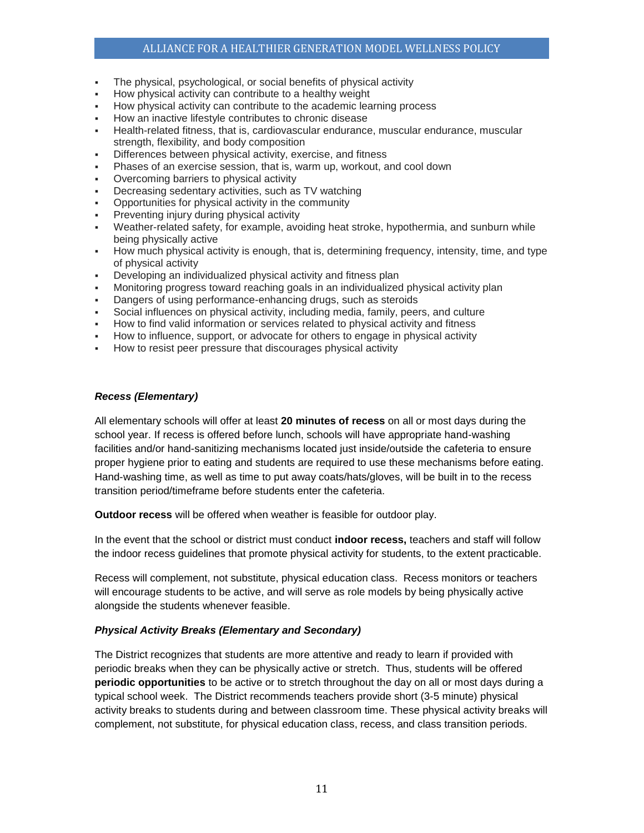#### ALLIANCE FOR A HEALTHIER GENERATION MODEL WELLNESS POLICY

- The physical, psychological, or social benefits of physical activity
- How physical activity can contribute to a healthy weight
- How physical activity can contribute to the academic learning process
- How an inactive lifestyle contributes to chronic disease
- Health-related fitness, that is, cardiovascular endurance, muscular endurance, muscular strength, flexibility, and body composition
- Differences between physical activity, exercise, and fitness
- Phases of an exercise session, that is, warm up, workout, and cool down
- Overcoming barriers to physical activity
- Decreasing sedentary activities, such as TV watching
- Opportunities for physical activity in the community
- Preventing injury during physical activity
- Weather-related safety, for example, avoiding heat stroke, hypothermia, and sunburn while being physically active
- How much physical activity is enough, that is, determining frequency, intensity, time, and type of physical activity
- Developing an individualized physical activity and fitness plan
- Monitoring progress toward reaching goals in an individualized physical activity plan
- Dangers of using performance-enhancing drugs, such as steroids
- Social influences on physical activity, including media, family, peers, and culture
- How to find valid information or services related to physical activity and fitness
- How to influence, support, or advocate for others to engage in physical activity
- How to resist peer pressure that discourages physical activity

#### *Recess (Elementary)*

All elementary schools will offer at least **20 minutes of recess** on all or most days during the school year. If recess is offered before lunch, schools will have appropriate hand-washing facilities and/or hand-sanitizing mechanisms located just inside/outside the cafeteria to ensure proper hygiene prior to eating and students are required to use these mechanisms before eating. Hand-washing time, as well as time to put away coats/hats/gloves, will be built in to the recess transition period/timeframe before students enter the cafeteria.

**Outdoor recess** will be offered when weather is feasible for outdoor play.

In the event that the school or district must conduct **indoor recess,** teachers and staff will follow the indoor recess guidelines that promote physical activity for students, to the extent practicable.

Recess will complement, not substitute, physical education class. Recess monitors or teachers will encourage students to be active, and will serve as role models by being physically active alongside the students whenever feasible.

#### *Physical Activity Breaks (Elementary and Secondary)*

The District recognizes that students are more attentive and ready to learn if provided with periodic breaks when they can be physically active or stretch. Thus, students will be offered **periodic opportunities** to be active or to stretch throughout the day on all or most days during a typical school week. The District recommends teachers provide short (3-5 minute) physical activity breaks to students during and between classroom time. These physical activity breaks will complement, not substitute, for physical education class, recess, and class transition periods.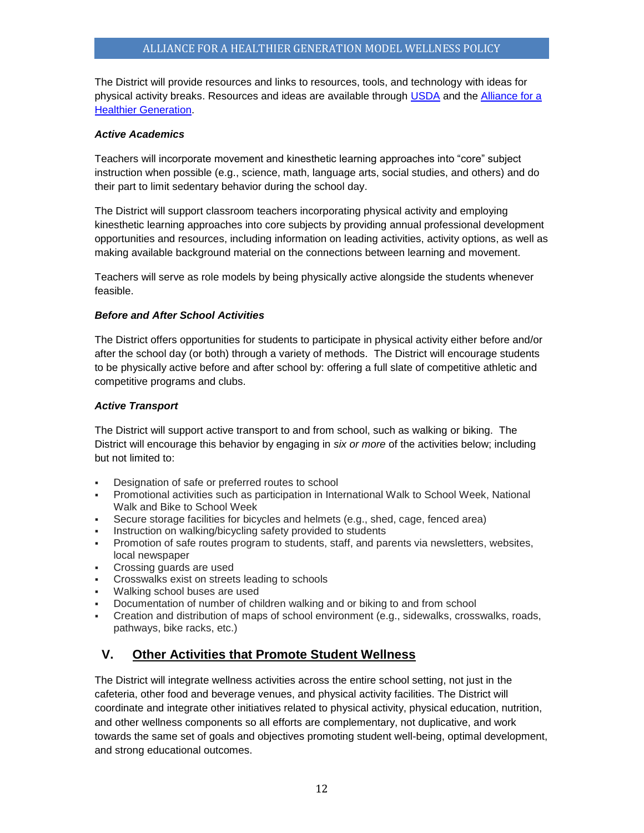The District will provide resources and links to resources, tools, and technology with ideas for physical activity breaks. Resources and ideas are available through [USDA](http://healthymeals.nal.usda.gov/resource-library/physical-activity-school-aged-children/activities-and-tools) and the [Alliance for a](https://www.healthiergeneration.org/take_action/schools/physical_activity/physical_activities/)  [Healthier Generation.](https://www.healthiergeneration.org/take_action/schools/physical_activity/physical_activities/) 

#### *Active Academics*

Teachers will incorporate movement and kinesthetic learning approaches into "core" subject instruction when possible (e.g., science, math, language arts, social studies, and others) and do their part to limit sedentary behavior during the school day.

The District will support classroom teachers incorporating physical activity and employing kinesthetic learning approaches into core subjects by providing annual professional development opportunities and resources, including information on leading activities, activity options, as well as making available background material on the connections between learning and movement.

Teachers will serve as role models by being physically active alongside the students whenever feasible.

#### *Before and After School Activities*

The District offers opportunities for students to participate in physical activity either before and/or after the school day (or both) through a variety of methods. The District will encourage students to be physically active before and after school by: offering a full slate of competitive athletic and competitive programs and clubs.

#### *Active Transport*

The District will support active transport to and from school, such as walking or biking. The District will encourage this behavior by engaging in *six or more* of the activities below; including but not limited to:

- Designation of safe or preferred routes to school
- Promotional activities such as participation in International Walk to School Week, National Walk and Bike to School Week
- Secure storage facilities for bicycles and helmets (e.g., shed, cage, fenced area)
- Instruction on walking/bicycling safety provided to students
- Promotion of safe routes program to students, staff, and parents via newsletters, websites, local newspaper
- Crossing guards are used
- Crosswalks exist on streets leading to schools
- Walking school buses are used
- Documentation of number of children walking and or biking to and from school
- Creation and distribution of maps of school environment (e.g., sidewalks, crosswalks, roads, pathways, bike racks, etc.)

# <span id="page-11-0"></span>**V. Other Activities that Promote Student Wellness**

The District will integrate wellness activities across the entire school setting, not just in the cafeteria, other food and beverage venues, and physical activity facilities. The District will coordinate and integrate other initiatives related to physical activity, physical education, nutrition, and other wellness components so all efforts are complementary, not duplicative, and work towards the same set of goals and objectives promoting student well-being, optimal development, and strong educational outcomes.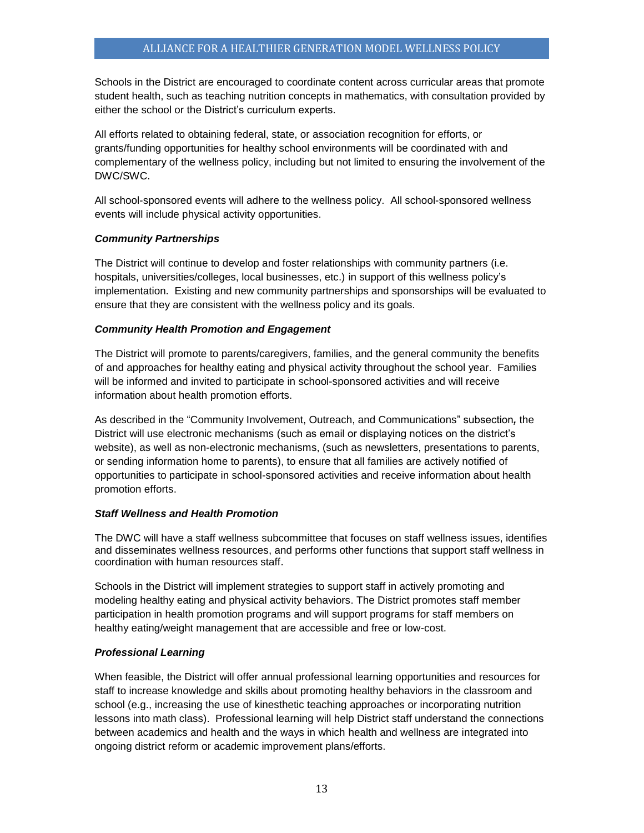Schools in the District are encouraged to coordinate content across curricular areas that promote student health, such as teaching nutrition concepts in mathematics, with consultation provided by either the school or the District's curriculum experts.

All efforts related to obtaining federal, state, or association recognition for efforts, or grants/funding opportunities for healthy school environments will be coordinated with and complementary of the wellness policy, including but not limited to ensuring the involvement of the DWC/SWC.

All school-sponsored events will adhere to the wellness policy. All school-sponsored wellness events will include physical activity opportunities.

#### *Community Partnerships*

The District will continue to develop and foster relationships with community partners (i.e. hospitals, universities/colleges, local businesses, etc.) in support of this wellness policy's implementation. Existing and new community partnerships and sponsorships will be evaluated to ensure that they are consistent with the wellness policy and its goals.

#### *Community Health Promotion and Engagement*

The District will promote to parents/caregivers, families, and the general community the benefits of and approaches for healthy eating and physical activity throughout the school year. Families will be informed and invited to participate in school-sponsored activities and will receive information about health promotion efforts.

As described in the "Community Involvement, Outreach, and Communications" subsection*,* the District will use electronic mechanisms (such as email or displaying notices on the district's website), as well as non-electronic mechanisms, (such as newsletters, presentations to parents, or sending information home to parents), to ensure that all families are actively notified of opportunities to participate in school-sponsored activities and receive information about health promotion efforts.

# *Staff Wellness and Health Promotion*

The DWC will have a staff wellness subcommittee that focuses on staff wellness issues, identifies and disseminates wellness resources, and performs other functions that support staff wellness in coordination with human resources staff.

Schools in the District will implement strategies to support staff in actively promoting and modeling healthy eating and physical activity behaviors. The District promotes staff member participation in health promotion programs and will support programs for staff members on healthy eating/weight management that are accessible and free or low-cost.

# *Professional Learning*

When feasible, the District will offer annual professional learning opportunities and resources for staff to increase knowledge and skills about promoting healthy behaviors in the classroom and school (e.g., increasing the use of kinesthetic teaching approaches or incorporating nutrition lessons into math class). Professional learning will help District staff understand the connections between academics and health and the ways in which health and wellness are integrated into ongoing district reform or academic improvement plans/efforts.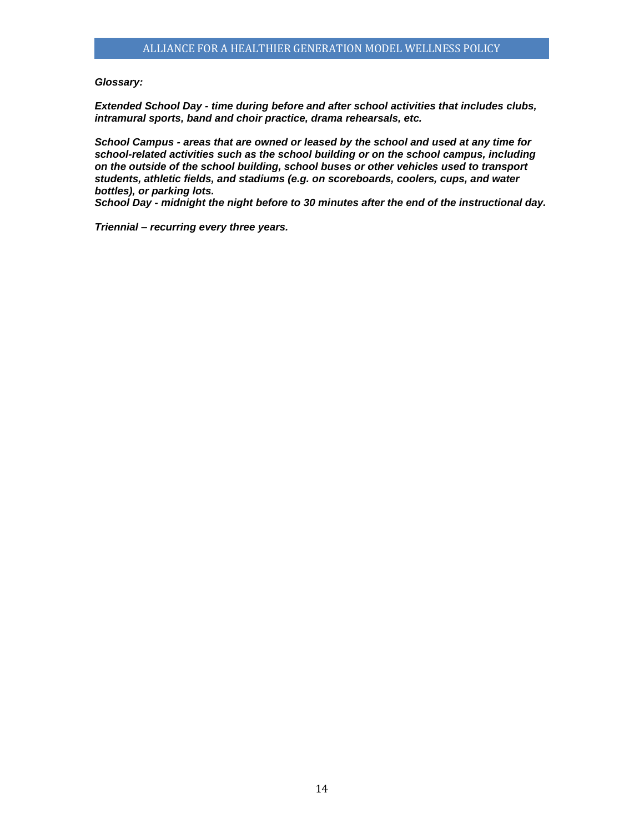#### <span id="page-13-0"></span>*Glossary:*

*Extended School Day - time during before and after school activities that includes clubs, intramural sports, band and choir practice, drama rehearsals, etc.*

*School Campus - areas that are owned or leased by the school and used at any time for school-related activities such as the school building or on the school campus, including on the outside of the school building, school buses or other vehicles used to transport students, athletic fields, and stadiums (e.g. on scoreboards, coolers, cups, and water bottles), or parking lots.*

*School Day - midnight the night before to 30 minutes after the end of the instructional day.*

*Triennial – recurring every three years.*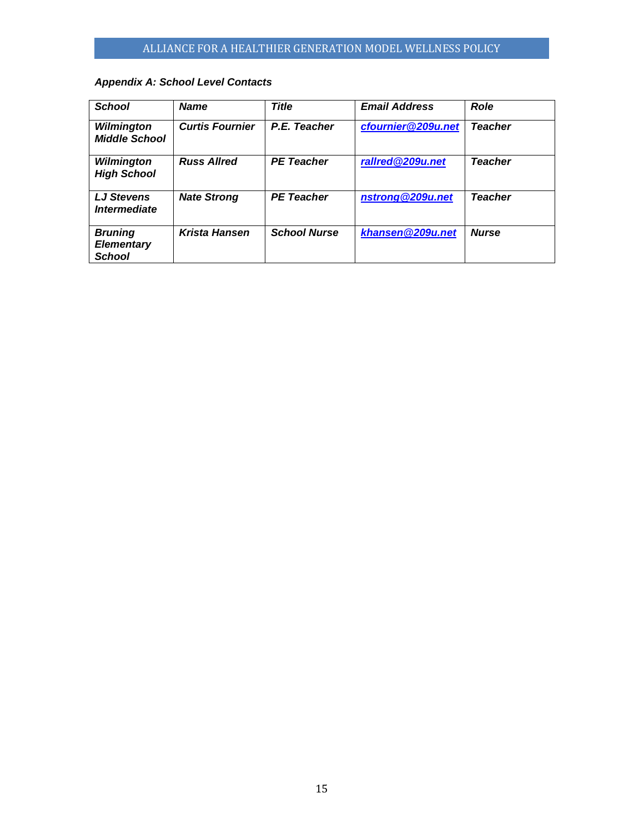# <span id="page-14-0"></span>*Appendix A: School Level Contacts*

| <b>School</b>                                        | <b>Name</b>            | <b>Title</b>        | <b>Email Address</b> | <b>Role</b>    |
|------------------------------------------------------|------------------------|---------------------|----------------------|----------------|
| Wilmington<br><b>Middle School</b>                   | <b>Curtis Fournier</b> | P.E. Teacher        | cfournier@209u.net   | <b>Teacher</b> |
| Wilmington<br><b>High School</b>                     | <b>Russ Allred</b>     | <b>PE Teacher</b>   | rallred@209u.net     | <b>Teacher</b> |
| <b>LJ Stevens</b><br><i><b>Intermediate</b></i>      | <b>Nate Strong</b>     | <b>PE Teacher</b>   | nstrong@209u.net     | <b>Teacher</b> |
| <b>Bruning</b><br><b>Elementary</b><br><b>School</b> | <b>Krista Hansen</b>   | <b>School Nurse</b> | khansen@209u.net     | <b>Nurse</b>   |